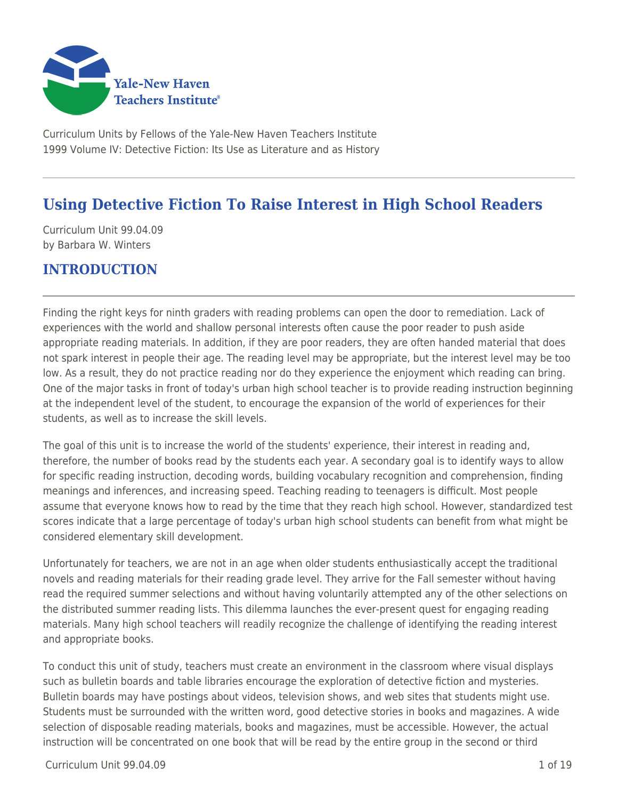

Curriculum Units by Fellows of the Yale-New Haven Teachers Institute 1999 Volume IV: Detective Fiction: Its Use as Literature and as History

# **Using Detective Fiction To Raise Interest in High School Readers**

Curriculum Unit 99.04.09 by Barbara W. Winters

## **INTRODUCTION**

Finding the right keys for ninth graders with reading problems can open the door to remediation. Lack of experiences with the world and shallow personal interests often cause the poor reader to push aside appropriate reading materials. In addition, if they are poor readers, they are often handed material that does not spark interest in people their age. The reading level may be appropriate, but the interest level may be too low. As a result, they do not practice reading nor do they experience the enjoyment which reading can bring. One of the major tasks in front of today's urban high school teacher is to provide reading instruction beginning at the independent level of the student, to encourage the expansion of the world of experiences for their students, as well as to increase the skill levels.

The goal of this unit is to increase the world of the students' experience, their interest in reading and, therefore, the number of books read by the students each year. A secondary goal is to identify ways to allow for specific reading instruction, decoding words, building vocabulary recognition and comprehension, finding meanings and inferences, and increasing speed. Teaching reading to teenagers is difficult. Most people assume that everyone knows how to read by the time that they reach high school. However, standardized test scores indicate that a large percentage of today's urban high school students can benefit from what might be considered elementary skill development.

Unfortunately for teachers, we are not in an age when older students enthusiastically accept the traditional novels and reading materials for their reading grade level. They arrive for the Fall semester without having read the required summer selections and without having voluntarily attempted any of the other selections on the distributed summer reading lists. This dilemma launches the ever-present quest for engaging reading materials. Many high school teachers will readily recognize the challenge of identifying the reading interest and appropriate books.

To conduct this unit of study, teachers must create an environment in the classroom where visual displays such as bulletin boards and table libraries encourage the exploration of detective fiction and mysteries. Bulletin boards may have postings about videos, television shows, and web sites that students might use. Students must be surrounded with the written word, good detective stories in books and magazines. A wide selection of disposable reading materials, books and magazines, must be accessible. However, the actual instruction will be concentrated on one book that will be read by the entire group in the second or third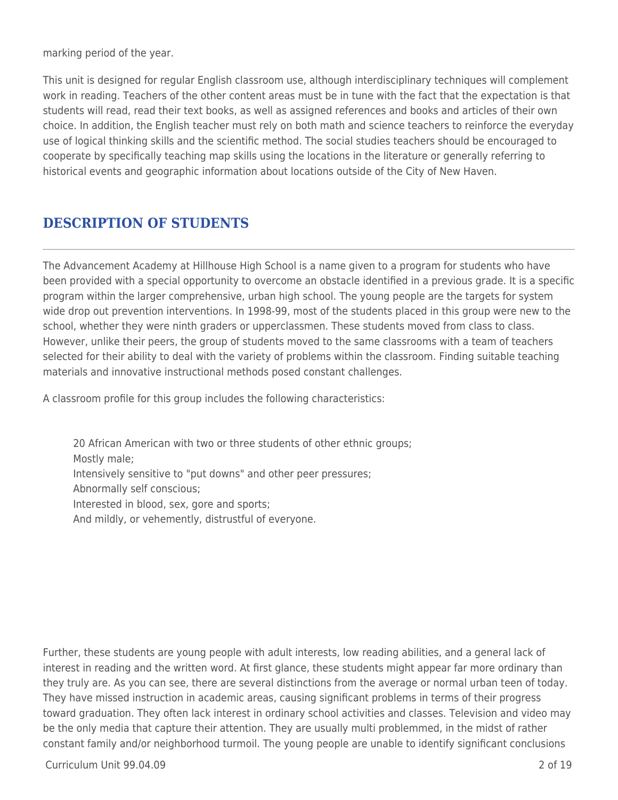marking period of the year.

This unit is designed for regular English classroom use, although interdisciplinary techniques will complement work in reading. Teachers of the other content areas must be in tune with the fact that the expectation is that students will read, read their text books, as well as assigned references and books and articles of their own choice. In addition, the English teacher must rely on both math and science teachers to reinforce the everyday use of logical thinking skills and the scientific method. The social studies teachers should be encouraged to cooperate by specifically teaching map skills using the locations in the literature or generally referring to historical events and geographic information about locations outside of the City of New Haven.

# **DESCRIPTION OF STUDENTS**

The Advancement Academy at Hillhouse High School is a name given to a program for students who have been provided with a special opportunity to overcome an obstacle identified in a previous grade. It is a specific program within the larger comprehensive, urban high school. The young people are the targets for system wide drop out prevention interventions. In 1998-99, most of the students placed in this group were new to the school, whether they were ninth graders or upperclassmen. These students moved from class to class. However, unlike their peers, the group of students moved to the same classrooms with a team of teachers selected for their ability to deal with the variety of problems within the classroom. Finding suitable teaching materials and innovative instructional methods posed constant challenges.

A classroom profile for this group includes the following characteristics:

20 African American with two or three students of other ethnic groups; Mostly male; Intensively sensitive to "put downs" and other peer pressures; Abnormally self conscious; Interested in blood, sex, gore and sports; And mildly, or vehemently, distrustful of everyone.

Further, these students are young people with adult interests, low reading abilities, and a general lack of interest in reading and the written word. At first glance, these students might appear far more ordinary than they truly are. As you can see, there are several distinctions from the average or normal urban teen of today. They have missed instruction in academic areas, causing significant problems in terms of their progress toward graduation. They often lack interest in ordinary school activities and classes. Television and video may be the only media that capture their attention. They are usually multi problemmed, in the midst of rather constant family and/or neighborhood turmoil. The young people are unable to identify significant conclusions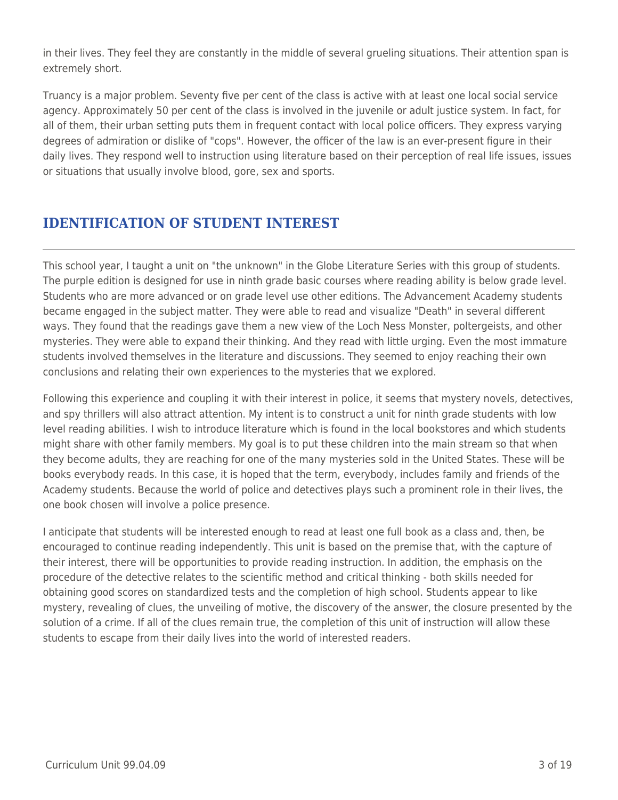in their lives. They feel they are constantly in the middle of several grueling situations. Their attention span is extremely short.

Truancy is a major problem. Seventy five per cent of the class is active with at least one local social service agency. Approximately 50 per cent of the class is involved in the juvenile or adult justice system. In fact, for all of them, their urban setting puts them in frequent contact with local police officers. They express varying degrees of admiration or dislike of "cops". However, the officer of the law is an ever-present figure in their daily lives. They respond well to instruction using literature based on their perception of real life issues, issues or situations that usually involve blood, gore, sex and sports.

## **IDENTIFICATION OF STUDENT INTEREST**

This school year, I taught a unit on "the unknown" in the Globe Literature Series with this group of students. The purple edition is designed for use in ninth grade basic courses where reading ability is below grade level. Students who are more advanced or on grade level use other editions. The Advancement Academy students became engaged in the subject matter. They were able to read and visualize "Death" in several different ways. They found that the readings gave them a new view of the Loch Ness Monster, poltergeists, and other mysteries. They were able to expand their thinking. And they read with little urging. Even the most immature students involved themselves in the literature and discussions. They seemed to enjoy reaching their own conclusions and relating their own experiences to the mysteries that we explored.

Following this experience and coupling it with their interest in police, it seems that mystery novels, detectives, and spy thrillers will also attract attention. My intent is to construct a unit for ninth grade students with low level reading abilities. I wish to introduce literature which is found in the local bookstores and which students might share with other family members. My goal is to put these children into the main stream so that when they become adults, they are reaching for one of the many mysteries sold in the United States. These will be books everybody reads. In this case, it is hoped that the term, everybody, includes family and friends of the Academy students. Because the world of police and detectives plays such a prominent role in their lives, the one book chosen will involve a police presence.

I anticipate that students will be interested enough to read at least one full book as a class and, then, be encouraged to continue reading independently. This unit is based on the premise that, with the capture of their interest, there will be opportunities to provide reading instruction. In addition, the emphasis on the procedure of the detective relates to the scientific method and critical thinking - both skills needed for obtaining good scores on standardized tests and the completion of high school. Students appear to like mystery, revealing of clues, the unveiling of motive, the discovery of the answer, the closure presented by the solution of a crime. If all of the clues remain true, the completion of this unit of instruction will allow these students to escape from their daily lives into the world of interested readers.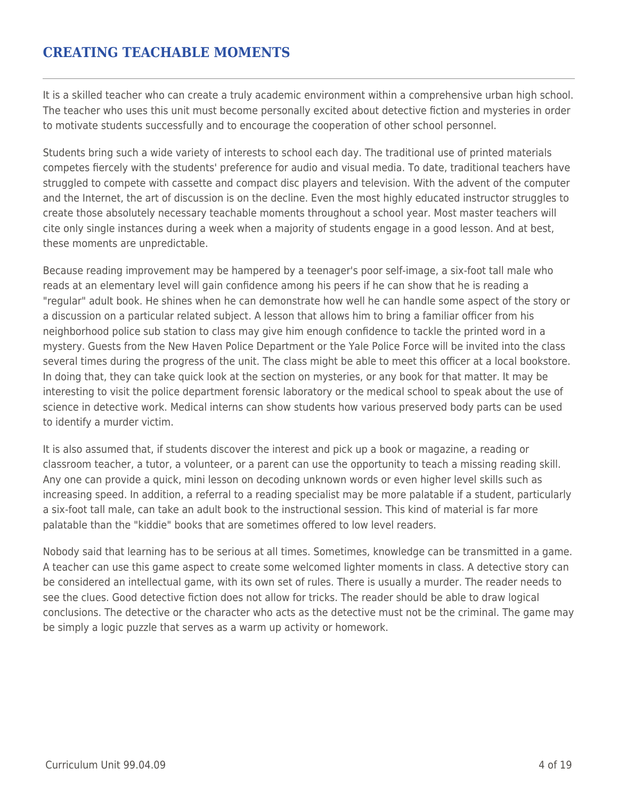### **CREATING TEACHABLE MOMENTS**

It is a skilled teacher who can create a truly academic environment within a comprehensive urban high school. The teacher who uses this unit must become personally excited about detective fiction and mysteries in order to motivate students successfully and to encourage the cooperation of other school personnel.

Students bring such a wide variety of interests to school each day. The traditional use of printed materials competes fiercely with the students' preference for audio and visual media. To date, traditional teachers have struggled to compete with cassette and compact disc players and television. With the advent of the computer and the Internet, the art of discussion is on the decline. Even the most highly educated instructor struggles to create those absolutely necessary teachable moments throughout a school year. Most master teachers will cite only single instances during a week when a majority of students engage in a good lesson. And at best, these moments are unpredictable.

Because reading improvement may be hampered by a teenager's poor self-image, a six-foot tall male who reads at an elementary level will gain confidence among his peers if he can show that he is reading a "regular" adult book. He shines when he can demonstrate how well he can handle some aspect of the story or a discussion on a particular related subject. A lesson that allows him to bring a familiar officer from his neighborhood police sub station to class may give him enough confidence to tackle the printed word in a mystery. Guests from the New Haven Police Department or the Yale Police Force will be invited into the class several times during the progress of the unit. The class might be able to meet this officer at a local bookstore. In doing that, they can take quick look at the section on mysteries, or any book for that matter. It may be interesting to visit the police department forensic laboratory or the medical school to speak about the use of science in detective work. Medical interns can show students how various preserved body parts can be used to identify a murder victim.

It is also assumed that, if students discover the interest and pick up a book or magazine, a reading or classroom teacher, a tutor, a volunteer, or a parent can use the opportunity to teach a missing reading skill. Any one can provide a quick, mini lesson on decoding unknown words or even higher level skills such as increasing speed. In addition, a referral to a reading specialist may be more palatable if a student, particularly a six-foot tall male, can take an adult book to the instructional session. This kind of material is far more palatable than the "kiddie" books that are sometimes offered to low level readers.

Nobody said that learning has to be serious at all times. Sometimes, knowledge can be transmitted in a game. A teacher can use this game aspect to create some welcomed lighter moments in class. A detective story can be considered an intellectual game, with its own set of rules. There is usually a murder. The reader needs to see the clues. Good detective fiction does not allow for tricks. The reader should be able to draw logical conclusions. The detective or the character who acts as the detective must not be the criminal. The game may be simply a logic puzzle that serves as a warm up activity or homework.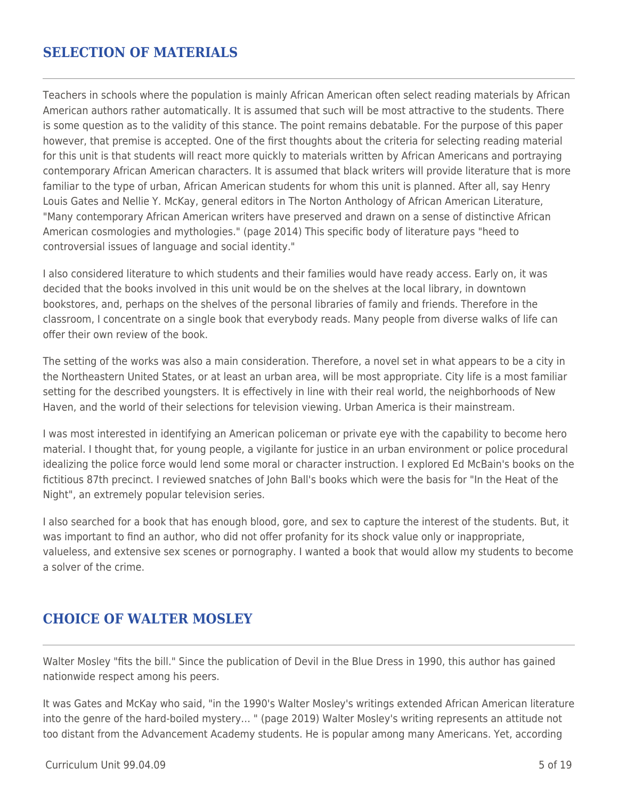### **SELECTION OF MATERIALS**

Teachers in schools where the population is mainly African American often select reading materials by African American authors rather automatically. It is assumed that such will be most attractive to the students. There is some question as to the validity of this stance. The point remains debatable. For the purpose of this paper however, that premise is accepted. One of the first thoughts about the criteria for selecting reading material for this unit is that students will react more quickly to materials written by African Americans and portraying contemporary African American characters. It is assumed that black writers will provide literature that is more familiar to the type of urban, African American students for whom this unit is planned. After all, say Henry Louis Gates and Nellie Y. McKay, general editors in The Norton Anthology of African American Literature, "Many contemporary African American writers have preserved and drawn on a sense of distinctive African American cosmologies and mythologies." (page 2014) This specific body of literature pays "heed to controversial issues of language and social identity."

I also considered literature to which students and their families would have ready access. Early on, it was decided that the books involved in this unit would be on the shelves at the local library, in downtown bookstores, and, perhaps on the shelves of the personal libraries of family and friends. Therefore in the classroom, I concentrate on a single book that everybody reads. Many people from diverse walks of life can offer their own review of the book.

The setting of the works was also a main consideration. Therefore, a novel set in what appears to be a city in the Northeastern United States, or at least an urban area, will be most appropriate. City life is a most familiar setting for the described youngsters. It is effectively in line with their real world, the neighborhoods of New Haven, and the world of their selections for television viewing. Urban America is their mainstream.

I was most interested in identifying an American policeman or private eye with the capability to become hero material. I thought that, for young people, a vigilante for justice in an urban environment or police procedural idealizing the police force would lend some moral or character instruction. I explored Ed McBain's books on the fictitious 87th precinct. I reviewed snatches of John Ball's books which were the basis for "In the Heat of the Night", an extremely popular television series.

I also searched for a book that has enough blood, gore, and sex to capture the interest of the students. But, it was important to find an author, who did not offer profanity for its shock value only or inappropriate, valueless, and extensive sex scenes or pornography. I wanted a book that would allow my students to become a solver of the crime.

## **CHOICE OF WALTER MOSLEY**

Walter Mosley "fits the bill." Since the publication of Devil in the Blue Dress in 1990, this author has gained nationwide respect among his peers.

It was Gates and McKay who said, "in the 1990's Walter Mosley's writings extended African American literature into the genre of the hard-boiled mystery… " (page 2019) Walter Mosley's writing represents an attitude not too distant from the Advancement Academy students. He is popular among many Americans. Yet, according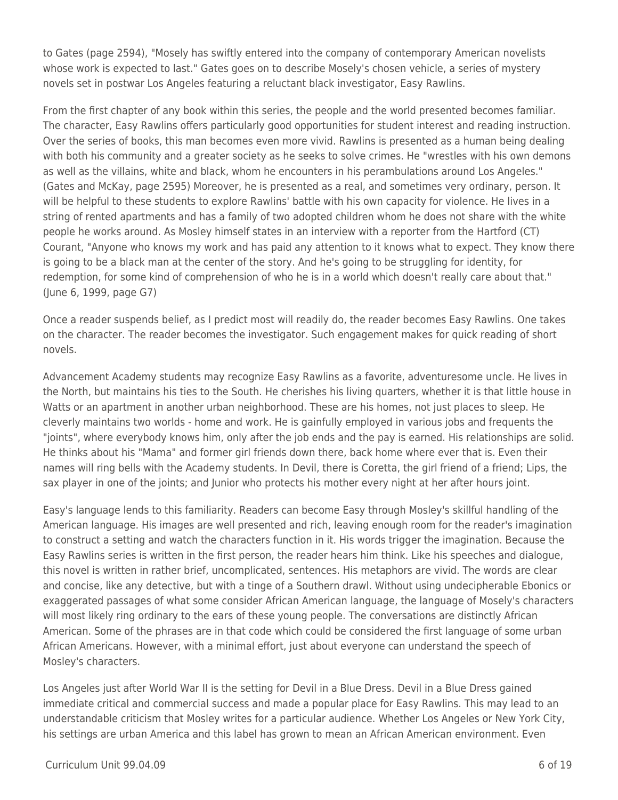to Gates (page 2594), "Mosely has swiftly entered into the company of contemporary American novelists whose work is expected to last." Gates goes on to describe Mosely's chosen vehicle, a series of mystery novels set in postwar Los Angeles featuring a reluctant black investigator, Easy Rawlins.

From the first chapter of any book within this series, the people and the world presented becomes familiar. The character, Easy Rawlins offers particularly good opportunities for student interest and reading instruction. Over the series of books, this man becomes even more vivid. Rawlins is presented as a human being dealing with both his community and a greater society as he seeks to solve crimes. He "wrestles with his own demons as well as the villains, white and black, whom he encounters in his perambulations around Los Angeles." (Gates and McKay, page 2595) Moreover, he is presented as a real, and sometimes very ordinary, person. It will be helpful to these students to explore Rawlins' battle with his own capacity for violence. He lives in a string of rented apartments and has a family of two adopted children whom he does not share with the white people he works around. As Mosley himself states in an interview with a reporter from the Hartford (CT) Courant, "Anyone who knows my work and has paid any attention to it knows what to expect. They know there is going to be a black man at the center of the story. And he's going to be struggling for identity, for redemption, for some kind of comprehension of who he is in a world which doesn't really care about that." (June 6, 1999, page G7)

Once a reader suspends belief, as I predict most will readily do, the reader becomes Easy Rawlins. One takes on the character. The reader becomes the investigator. Such engagement makes for quick reading of short novels.

Advancement Academy students may recognize Easy Rawlins as a favorite, adventuresome uncle. He lives in the North, but maintains his ties to the South. He cherishes his living quarters, whether it is that little house in Watts or an apartment in another urban neighborhood. These are his homes, not just places to sleep. He cleverly maintains two worlds - home and work. He is gainfully employed in various jobs and frequents the "joints", where everybody knows him, only after the job ends and the pay is earned. His relationships are solid. He thinks about his "Mama" and former girl friends down there, back home where ever that is. Even their names will ring bells with the Academy students. In Devil, there is Coretta, the girl friend of a friend; Lips, the sax player in one of the joints; and Junior who protects his mother every night at her after hours joint.

Easy's language lends to this familiarity. Readers can become Easy through Mosley's skillful handling of the American language. His images are well presented and rich, leaving enough room for the reader's imagination to construct a setting and watch the characters function in it. His words trigger the imagination. Because the Easy Rawlins series is written in the first person, the reader hears him think. Like his speeches and dialogue, this novel is written in rather brief, uncomplicated, sentences. His metaphors are vivid. The words are clear and concise, like any detective, but with a tinge of a Southern drawl. Without using undecipherable Ebonics or exaggerated passages of what some consider African American language, the language of Mosely's characters will most likely ring ordinary to the ears of these young people. The conversations are distinctly African American. Some of the phrases are in that code which could be considered the first language of some urban African Americans. However, with a minimal effort, just about everyone can understand the speech of Mosley's characters.

Los Angeles just after World War II is the setting for Devil in a Blue Dress. Devil in a Blue Dress gained immediate critical and commercial success and made a popular place for Easy Rawlins. This may lead to an understandable criticism that Mosley writes for a particular audience. Whether Los Angeles or New York City, his settings are urban America and this label has grown to mean an African American environment. Even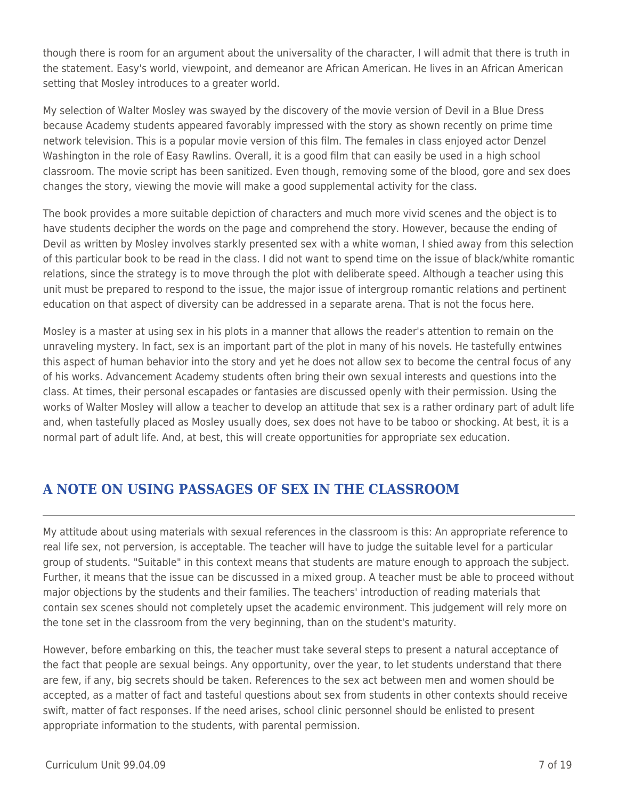though there is room for an argument about the universality of the character, I will admit that there is truth in the statement. Easy's world, viewpoint, and demeanor are African American. He lives in an African American setting that Mosley introduces to a greater world.

My selection of Walter Mosley was swayed by the discovery of the movie version of Devil in a Blue Dress because Academy students appeared favorably impressed with the story as shown recently on prime time network television. This is a popular movie version of this film. The females in class enjoyed actor Denzel Washington in the role of Easy Rawlins. Overall, it is a good film that can easily be used in a high school classroom. The movie script has been sanitized. Even though, removing some of the blood, gore and sex does changes the story, viewing the movie will make a good supplemental activity for the class.

The book provides a more suitable depiction of characters and much more vivid scenes and the object is to have students decipher the words on the page and comprehend the story. However, because the ending of Devil as written by Mosley involves starkly presented sex with a white woman, I shied away from this selection of this particular book to be read in the class. I did not want to spend time on the issue of black/white romantic relations, since the strategy is to move through the plot with deliberate speed. Although a teacher using this unit must be prepared to respond to the issue, the major issue of intergroup romantic relations and pertinent education on that aspect of diversity can be addressed in a separate arena. That is not the focus here.

Mosley is a master at using sex in his plots in a manner that allows the reader's attention to remain on the unraveling mystery. In fact, sex is an important part of the plot in many of his novels. He tastefully entwines this aspect of human behavior into the story and yet he does not allow sex to become the central focus of any of his works. Advancement Academy students often bring their own sexual interests and questions into the class. At times, their personal escapades or fantasies are discussed openly with their permission. Using the works of Walter Mosley will allow a teacher to develop an attitude that sex is a rather ordinary part of adult life and, when tastefully placed as Mosley usually does, sex does not have to be taboo or shocking. At best, it is a normal part of adult life. And, at best, this will create opportunities for appropriate sex education.

# **A NOTE ON USING PASSAGES OF SEX IN THE CLASSROOM**

My attitude about using materials with sexual references in the classroom is this: An appropriate reference to real life sex, not perversion, is acceptable. The teacher will have to judge the suitable level for a particular group of students. "Suitable" in this context means that students are mature enough to approach the subject. Further, it means that the issue can be discussed in a mixed group. A teacher must be able to proceed without major objections by the students and their families. The teachers' introduction of reading materials that contain sex scenes should not completely upset the academic environment. This judgement will rely more on the tone set in the classroom from the very beginning, than on the student's maturity.

However, before embarking on this, the teacher must take several steps to present a natural acceptance of the fact that people are sexual beings. Any opportunity, over the year, to let students understand that there are few, if any, big secrets should be taken. References to the sex act between men and women should be accepted, as a matter of fact and tasteful questions about sex from students in other contexts should receive swift, matter of fact responses. If the need arises, school clinic personnel should be enlisted to present appropriate information to the students, with parental permission.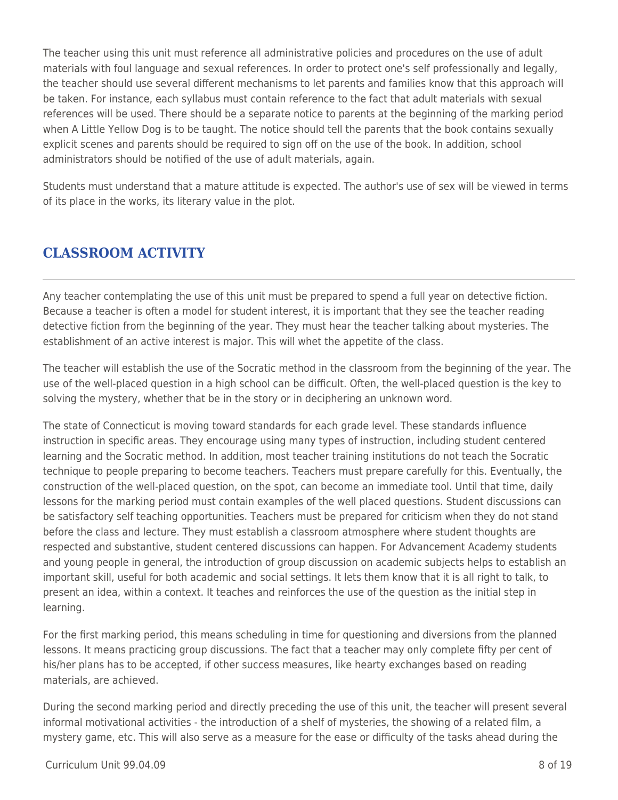The teacher using this unit must reference all administrative policies and procedures on the use of adult materials with foul language and sexual references. In order to protect one's self professionally and legally, the teacher should use several different mechanisms to let parents and families know that this approach will be taken. For instance, each syllabus must contain reference to the fact that adult materials with sexual references will be used. There should be a separate notice to parents at the beginning of the marking period when A Little Yellow Dog is to be taught. The notice should tell the parents that the book contains sexually explicit scenes and parents should be required to sign off on the use of the book. In addition, school administrators should be notified of the use of adult materials, again.

Students must understand that a mature attitude is expected. The author's use of sex will be viewed in terms of its place in the works, its literary value in the plot.

# **CLASSROOM ACTIVITY**

Any teacher contemplating the use of this unit must be prepared to spend a full year on detective fiction. Because a teacher is often a model for student interest, it is important that they see the teacher reading detective fiction from the beginning of the year. They must hear the teacher talking about mysteries. The establishment of an active interest is major. This will whet the appetite of the class.

The teacher will establish the use of the Socratic method in the classroom from the beginning of the year. The use of the well-placed question in a high school can be difficult. Often, the well-placed question is the key to solving the mystery, whether that be in the story or in deciphering an unknown word.

The state of Connecticut is moving toward standards for each grade level. These standards influence instruction in specific areas. They encourage using many types of instruction, including student centered learning and the Socratic method. In addition, most teacher training institutions do not teach the Socratic technique to people preparing to become teachers. Teachers must prepare carefully for this. Eventually, the construction of the well-placed question, on the spot, can become an immediate tool. Until that time, daily lessons for the marking period must contain examples of the well placed questions. Student discussions can be satisfactory self teaching opportunities. Teachers must be prepared for criticism when they do not stand before the class and lecture. They must establish a classroom atmosphere where student thoughts are respected and substantive, student centered discussions can happen. For Advancement Academy students and young people in general, the introduction of group discussion on academic subjects helps to establish an important skill, useful for both academic and social settings. It lets them know that it is all right to talk, to present an idea, within a context. It teaches and reinforces the use of the question as the initial step in learning.

For the first marking period, this means scheduling in time for questioning and diversions from the planned lessons. It means practicing group discussions. The fact that a teacher may only complete fifty per cent of his/her plans has to be accepted, if other success measures, like hearty exchanges based on reading materials, are achieved.

During the second marking period and directly preceding the use of this unit, the teacher will present several informal motivational activities - the introduction of a shelf of mysteries, the showing of a related film, a mystery game, etc. This will also serve as a measure for the ease or difficulty of the tasks ahead during the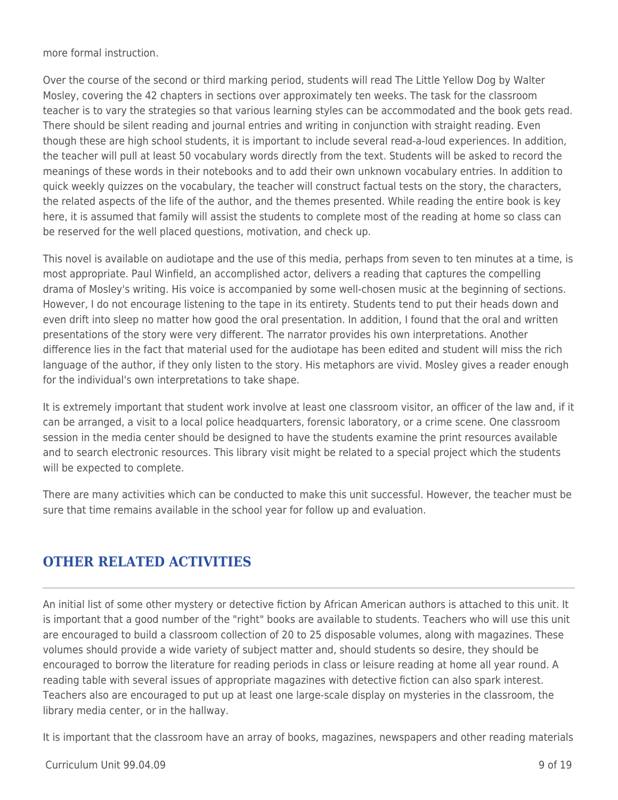more formal instruction.

Over the course of the second or third marking period, students will read The Little Yellow Dog by Walter Mosley, covering the 42 chapters in sections over approximately ten weeks. The task for the classroom teacher is to vary the strategies so that various learning styles can be accommodated and the book gets read. There should be silent reading and journal entries and writing in conjunction with straight reading. Even though these are high school students, it is important to include several read-a-loud experiences. In addition, the teacher will pull at least 50 vocabulary words directly from the text. Students will be asked to record the meanings of these words in their notebooks and to add their own unknown vocabulary entries. In addition to quick weekly quizzes on the vocabulary, the teacher will construct factual tests on the story, the characters, the related aspects of the life of the author, and the themes presented. While reading the entire book is key here, it is assumed that family will assist the students to complete most of the reading at home so class can be reserved for the well placed questions, motivation, and check up.

This novel is available on audiotape and the use of this media, perhaps from seven to ten minutes at a time, is most appropriate. Paul Winfield, an accomplished actor, delivers a reading that captures the compelling drama of Mosley's writing. His voice is accompanied by some well-chosen music at the beginning of sections. However, I do not encourage listening to the tape in its entirety. Students tend to put their heads down and even drift into sleep no matter how good the oral presentation. In addition, I found that the oral and written presentations of the story were very different. The narrator provides his own interpretations. Another difference lies in the fact that material used for the audiotape has been edited and student will miss the rich language of the author, if they only listen to the story. His metaphors are vivid. Mosley gives a reader enough for the individual's own interpretations to take shape.

It is extremely important that student work involve at least one classroom visitor, an officer of the law and, if it can be arranged, a visit to a local police headquarters, forensic laboratory, or a crime scene. One classroom session in the media center should be designed to have the students examine the print resources available and to search electronic resources. This library visit might be related to a special project which the students will be expected to complete.

There are many activities which can be conducted to make this unit successful. However, the teacher must be sure that time remains available in the school year for follow up and evaluation.

# **OTHER RELATED ACTIVITIES**

An initial list of some other mystery or detective fiction by African American authors is attached to this unit. It is important that a good number of the "right" books are available to students. Teachers who will use this unit are encouraged to build a classroom collection of 20 to 25 disposable volumes, along with magazines. These volumes should provide a wide variety of subject matter and, should students so desire, they should be encouraged to borrow the literature for reading periods in class or leisure reading at home all year round. A reading table with several issues of appropriate magazines with detective fiction can also spark interest. Teachers also are encouraged to put up at least one large-scale display on mysteries in the classroom, the library media center, or in the hallway.

It is important that the classroom have an array of books, magazines, newspapers and other reading materials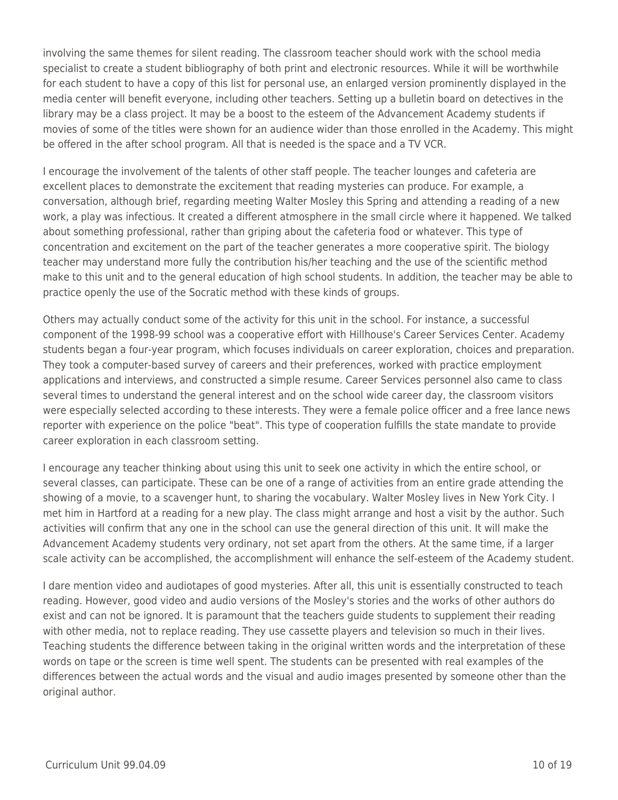involving the same themes for silent reading. The classroom teacher should work with the school media specialist to create a student bibliography of both print and electronic resources. While it will be worthwhile for each student to have a copy of this list for personal use, an enlarged version prominently displayed in the media center will benefit everyone, including other teachers. Setting up a bulletin board on detectives in the library may be a class project. It may be a boost to the esteem of the Advancement Academy students if movies of some of the titles were shown for an audience wider than those enrolled in the Academy. This might be offered in the after school program. All that is needed is the space and a TV VCR.

I encourage the involvement of the talents of other staff people. The teacher lounges and cafeteria are excellent places to demonstrate the excitement that reading mysteries can produce. For example, a conversation, although brief, regarding meeting Walter Mosley this Spring and attending a reading of a new work, a play was infectious. It created a different atmosphere in the small circle where it happened. We talked about something professional, rather than griping about the cafeteria food or whatever. This type of concentration and excitement on the part of the teacher generates a more cooperative spirit. The biology teacher may understand more fully the contribution his/her teaching and the use of the scientific method make to this unit and to the general education of high school students. In addition, the teacher may be able to practice openly the use of the Socratic method with these kinds of groups.

Others may actually conduct some of the activity for this unit in the school. For instance, a successful component of the 1998-99 school was a cooperative effort with Hillhouse's Career Services Center. Academy students began a four-year program, which focuses individuals on career exploration, choices and preparation. They took a computer-based survey of careers and their preferences, worked with practice employment applications and interviews, and constructed a simple resume. Career Services personnel also came to class several times to understand the general interest and on the school wide career day, the classroom visitors were especially selected according to these interests. They were a female police officer and a free lance news reporter with experience on the police "beat". This type of cooperation fulfills the state mandate to provide career exploration in each classroom setting.

I encourage any teacher thinking about using this unit to seek one activity in which the entire school, or several classes, can participate. These can be one of a range of activities from an entire grade attending the showing of a movie, to a scavenger hunt, to sharing the vocabulary. Walter Mosley lives in New York City. I met him in Hartford at a reading for a new play. The class might arrange and host a visit by the author. Such activities will confirm that any one in the school can use the general direction of this unit. It will make the Advancement Academy students very ordinary, not set apart from the others. At the same time, if a larger scale activity can be accomplished, the accomplishment will enhance the self-esteem of the Academy student.

I dare mention video and audiotapes of good mysteries. After all, this unit is essentially constructed to teach reading. However, good video and audio versions of the Mosley's stories and the works of other authors do exist and can not be ignored. It is paramount that the teachers guide students to supplement their reading with other media, not to replace reading. They use cassette players and television so much in their lives. Teaching students the difference between taking in the original written words and the interpretation of these words on tape or the screen is time well spent. The students can be presented with real examples of the differences between the actual words and the visual and audio images presented by someone other than the original author.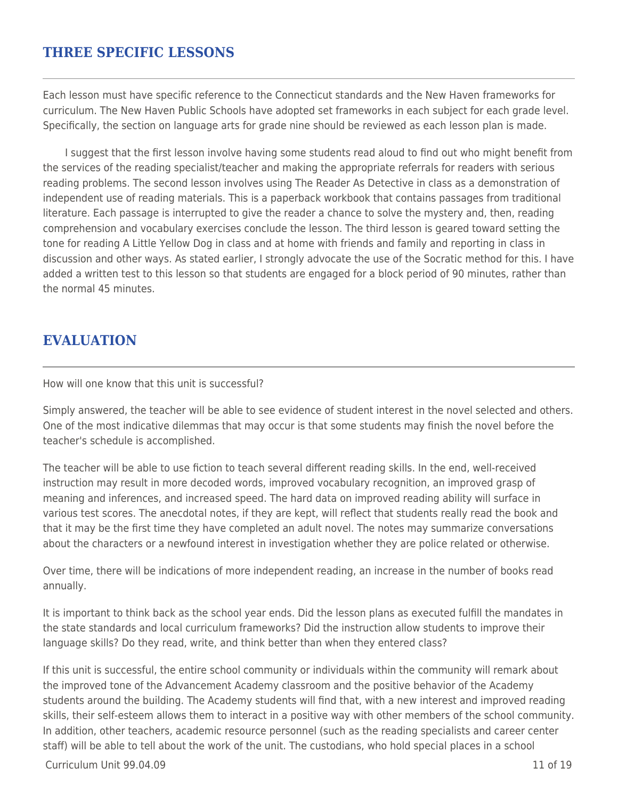### **THREE SPECIFIC LESSONS**

Each lesson must have specific reference to the Connecticut standards and the New Haven frameworks for curriculum. The New Haven Public Schools have adopted set frameworks in each subject for each grade level. Specifically, the section on language arts for grade nine should be reviewed as each lesson plan is made.

I suggest that the first lesson involve having some students read aloud to find out who might benefit from the services of the reading specialist/teacher and making the appropriate referrals for readers with serious reading problems. The second lesson involves using The Reader As Detective in class as a demonstration of independent use of reading materials. This is a paperback workbook that contains passages from traditional literature. Each passage is interrupted to give the reader a chance to solve the mystery and, then, reading comprehension and vocabulary exercises conclude the lesson. The third lesson is geared toward setting the tone for reading A Little Yellow Dog in class and at home with friends and family and reporting in class in discussion and other ways. As stated earlier, I strongly advocate the use of the Socratic method for this. I have added a written test to this lesson so that students are engaged for a block period of 90 minutes, rather than the normal 45 minutes.

## **EVALUATION**

How will one know that this unit is successful?

Simply answered, the teacher will be able to see evidence of student interest in the novel selected and others. One of the most indicative dilemmas that may occur is that some students may finish the novel before the teacher's schedule is accomplished.

The teacher will be able to use fiction to teach several different reading skills. In the end, well-received instruction may result in more decoded words, improved vocabulary recognition, an improved grasp of meaning and inferences, and increased speed. The hard data on improved reading ability will surface in various test scores. The anecdotal notes, if they are kept, will reflect that students really read the book and that it may be the first time they have completed an adult novel. The notes may summarize conversations about the characters or a newfound interest in investigation whether they are police related or otherwise.

Over time, there will be indications of more independent reading, an increase in the number of books read annually.

It is important to think back as the school year ends. Did the lesson plans as executed fulfill the mandates in the state standards and local curriculum frameworks? Did the instruction allow students to improve their language skills? Do they read, write, and think better than when they entered class?

If this unit is successful, the entire school community or individuals within the community will remark about the improved tone of the Advancement Academy classroom and the positive behavior of the Academy students around the building. The Academy students will find that, with a new interest and improved reading skills, their self-esteem allows them to interact in a positive way with other members of the school community. In addition, other teachers, academic resource personnel (such as the reading specialists and career center staff) will be able to tell about the work of the unit. The custodians, who hold special places in a school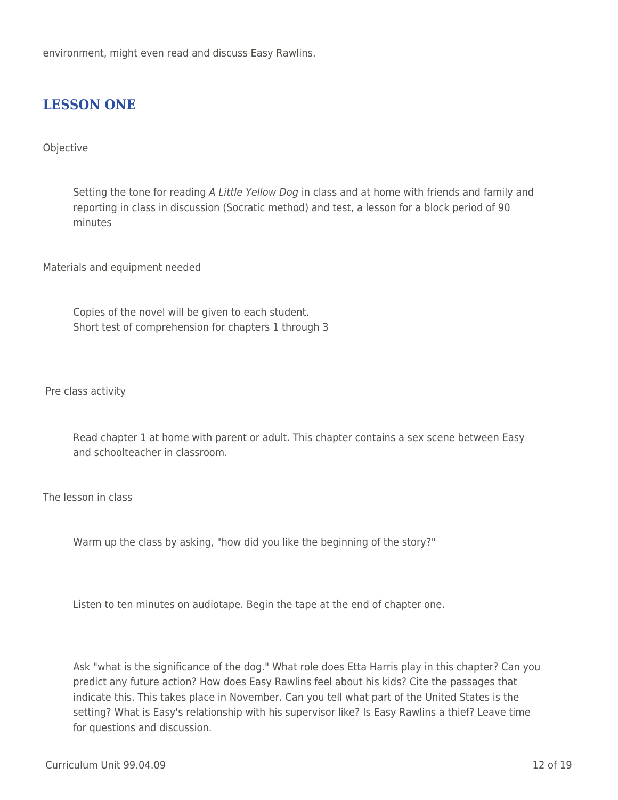environment, might even read and discuss Easy Rawlins.

## **LESSON ONE**

### Objective

Setting the tone for reading A Little Yellow Dog in class and at home with friends and family and reporting in class in discussion (Socratic method) and test, a lesson for a block period of 90 minutes

Materials and equipment needed

Copies of the novel will be given to each student. Short test of comprehension for chapters 1 through 3

Pre class activity

Read chapter 1 at home with parent or adult. This chapter contains a sex scene between Easy and schoolteacher in classroom.

The lesson in class

Warm up the class by asking, "how did you like the beginning of the story?"

Listen to ten minutes on audiotape. Begin the tape at the end of chapter one.

Ask "what is the significance of the dog." What role does Etta Harris play in this chapter? Can you predict any future action? How does Easy Rawlins feel about his kids? Cite the passages that indicate this. This takes place in November. Can you tell what part of the United States is the setting? What is Easy's relationship with his supervisor like? Is Easy Rawlins a thief? Leave time for questions and discussion.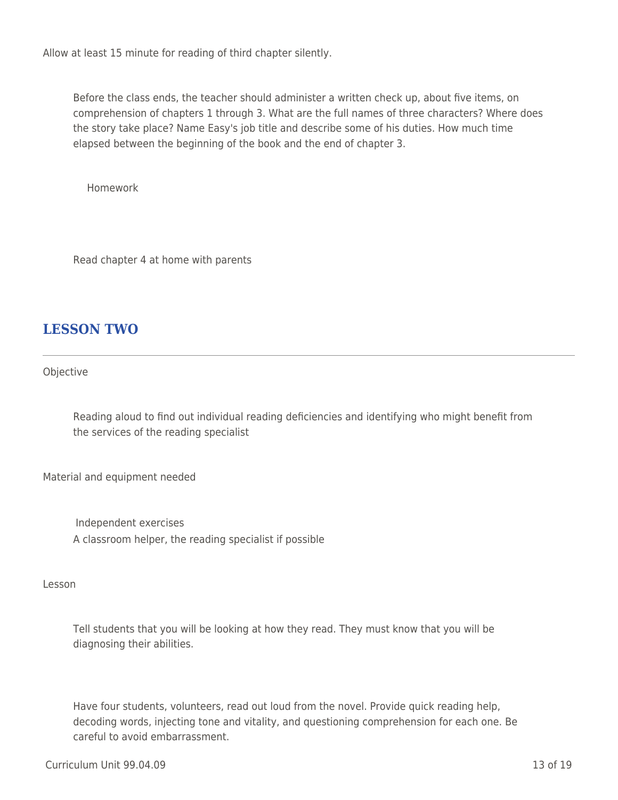Allow at least 15 minute for reading of third chapter silently.

Before the class ends, the teacher should administer a written check up, about five items, on comprehension of chapters 1 through 3. What are the full names of three characters? Where does the story take place? Name Easy's job title and describe some of his duties. How much time elapsed between the beginning of the book and the end of chapter 3.

\_\_\_\_ \_\_\_\_ Homework

Read chapter 4 at home with parents

# **LESSON TWO**

Objective

Reading aloud to find out individual reading deficiencies and identifying who might benefit from the services of the reading specialist

Material and equipment needed

Independent exercises A classroom helper, the reading specialist if possible

Lesson

Tell students that you will be looking at how they read. They must know that you will be diagnosing their abilities.

Have four students, volunteers, read out loud from the novel. Provide quick reading help, decoding words, injecting tone and vitality, and questioning comprehension for each one. Be careful to avoid embarrassment.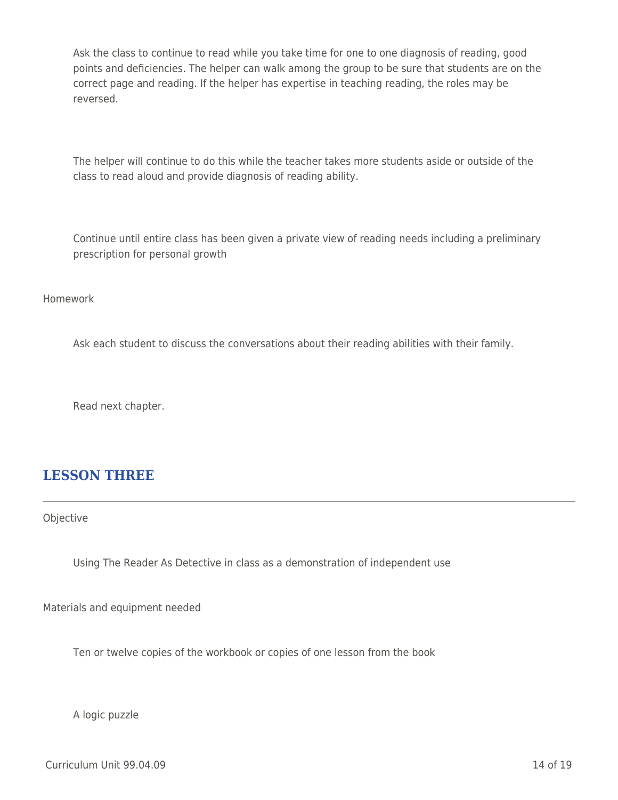Ask the class to continue to read while you take time for one to one diagnosis of reading, good points and deficiencies. The helper can walk among the group to be sure that students are on the correct page and reading. If the helper has expertise in teaching reading, the roles may be reversed.

The helper will continue to do this while the teacher takes more students aside or outside of the class to read aloud and provide diagnosis of reading ability.

Continue until entire class has been given a private view of reading needs including a preliminary prescription for personal growth

Homework

Ask each student to discuss the conversations about their reading abilities with their family.

Read next chapter.

### **LESSON THREE**

Objective

Using The Reader As Detective in class as a demonstration of independent use

Materials and equipment needed

Ten or twelve copies of the workbook or copies of one lesson from the book

A logic puzzle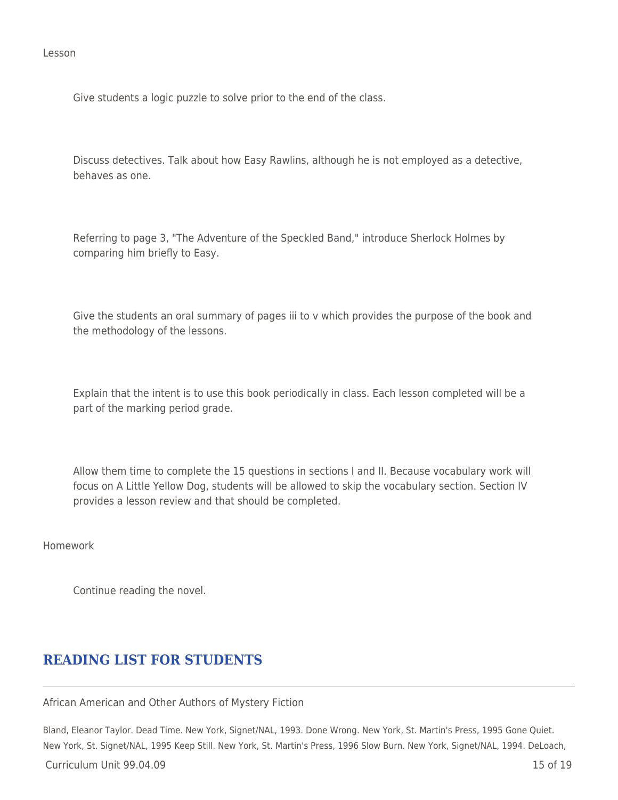Lesson

Give students a logic puzzle to solve prior to the end of the class.

Discuss detectives. Talk about how Easy Rawlins, although he is not employed as a detective, behaves as one.

Referring to page 3, "The Adventure of the Speckled Band," introduce Sherlock Holmes by comparing him briefly to Easy.

Give the students an oral summary of pages iii to v which provides the purpose of the book and the methodology of the lessons.

Explain that the intent is to use this book periodically in class. Each lesson completed will be a part of the marking period grade.

Allow them time to complete the 15 questions in sections I and II. Because vocabulary work will focus on A Little Yellow Dog, students will be allowed to skip the vocabulary section. Section IV provides a lesson review and that should be completed.

Homework

Continue reading the novel.

## **READING LIST FOR STUDENTS**

African American and Other Authors of Mystery Fiction

Bland, Eleanor Taylor. Dead Time. New York, Signet/NAL, 1993. Done Wrong. New York, St. Martin's Press, 1995 Gone Quiet. New York, St. Signet/NAL, 1995 Keep Still. New York, St. Martin's Press, 1996 Slow Burn. New York, Signet/NAL, 1994. DeLoach,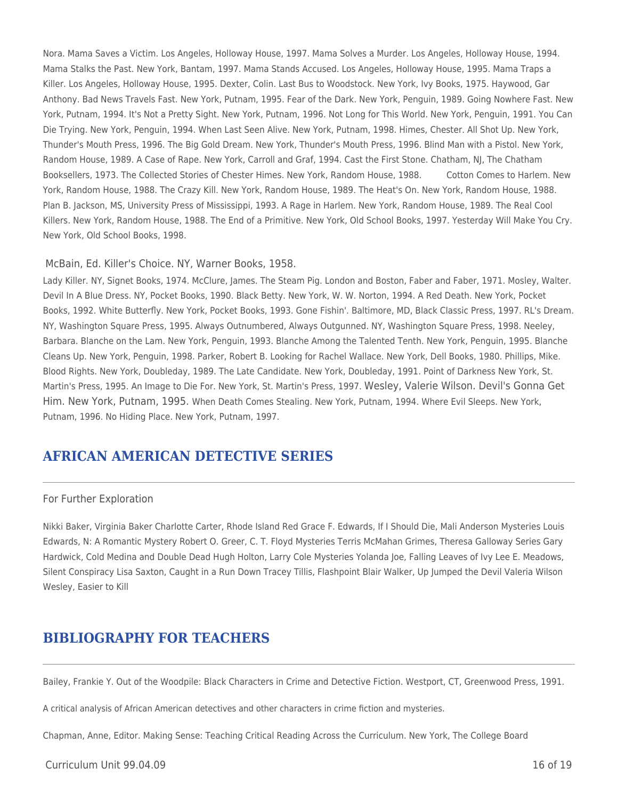Nora. Mama Saves a Victim. Los Angeles, Holloway House, 1997. Mama Solves a Murder. Los Angeles, Holloway House, 1994. Mama Stalks the Past. New York, Bantam, 1997. Mama Stands Accused. Los Angeles, Holloway House, 1995. Mama Traps a Killer. Los Angeles, Holloway House, 1995. Dexter, Colin. Last Bus to Woodstock. New York, Ivy Books, 1975. Haywood, Gar Anthony. Bad News Travels Fast. New York, Putnam, 1995. Fear of the Dark. New York, Penguin, 1989. Going Nowhere Fast. New York, Putnam, 1994. It's Not a Pretty Sight. New York, Putnam, 1996. Not Long for This World. New York, Penguin, 1991. You Can Die Trying. New York, Penguin, 1994. When Last Seen Alive. New York, Putnam, 1998. Himes, Chester. All Shot Up. New York, Thunder's Mouth Press, 1996. The Big Gold Dream. New York, Thunder's Mouth Press, 1996. Blind Man with a Pistol. New York, Random House, 1989. A Case of Rape. New York, Carroll and Graf, 1994. Cast the First Stone. Chatham, NJ, The Chatham Booksellers, 1973. The Collected Stories of Chester Himes. New York, Random House, 1988. \_\_\_\_ Cotton Comes to Harlem. New York, Random House, 1988. The Crazy Kill. New York, Random House, 1989. The Heat's On. New York, Random House, 1988. Plan B. Jackson, MS, University Press of Mississippi, 1993. A Rage in Harlem. New York, Random House, 1989. The Real Cool Killers. New York, Random House, 1988. The End of a Primitive. New York, Old School Books, 1997. Yesterday Will Make You Cry. New York, Old School Books, 1998.

### McBain, Ed. Killer's Choice. NY, Warner Books, 1958.

Lady Killer. NY, Signet Books, 1974. McClure, James. The Steam Pig. London and Boston, Faber and Faber, 1971. Mosley, Walter. Devil In A Blue Dress. NY, Pocket Books, 1990. Black Betty. New York, W. W. Norton, 1994. A Red Death. New York, Pocket Books, 1992. White Butterfly. New York, Pocket Books, 1993. Gone Fishin'. Baltimore, MD, Black Classic Press, 1997. RL's Dream. NY, Washington Square Press, 1995. Always Outnumbered, Always Outgunned. NY, Washington Square Press, 1998. Neeley, Barbara. Blanche on the Lam. New York, Penguin, 1993. Blanche Among the Talented Tenth. New York, Penguin, 1995. Blanche Cleans Up. New York, Penguin, 1998. Parker, Robert B. Looking for Rachel Wallace. New York, Dell Books, 1980. Phillips, Mike. Blood Rights. New York, Doubleday, 1989. The Late Candidate. New York, Doubleday, 1991. Point of Darkness New York, St. Martin's Press, 1995. An Image to Die For. New York, St. Martin's Press, 1997. Wesley, Valerie Wilson. Devil's Gonna Get Him. New York, Putnam, 1995. When Death Comes Stealing. New York, Putnam, 1994. Where Evil Sleeps. New York, Putnam, 1996. No Hiding Place. New York, Putnam, 1997.

### **AFRICAN AMERICAN DETECTIVE SERIES**

### For Further Exploration

Nikki Baker, Virginia Baker Charlotte Carter, Rhode Island Red Grace F. Edwards, If I Should Die, Mali Anderson Mysteries Louis Edwards, N: A Romantic Mystery Robert O. Greer, C. T. Floyd Mysteries Terris McMahan Grimes, Theresa Galloway Series Gary Hardwick, Cold Medina and Double Dead Hugh Holton, Larry Cole Mysteries Yolanda Joe, Falling Leaves of Ivy Lee E. Meadows, Silent Conspiracy Lisa Saxton, Caught in a Run Down Tracey Tillis, Flashpoint Blair Walker, Up Jumped the Devil Valeria Wilson Wesley, Easier to Kill

### **BIBLIOGRAPHY FOR TEACHERS**

Bailey, Frankie Y. Out of the Woodpile: Black Characters in Crime and Detective Fiction. Westport, CT, Greenwood Press, 1991.

A critical analysis of African American detectives and other characters in crime fiction and mysteries.

Chapman, Anne, Editor. Making Sense: Teaching Critical Reading Across the Curriculum. New York, The College Board

### $C$ urriculum Unit 99.04.09  $\qquad$  16 of 19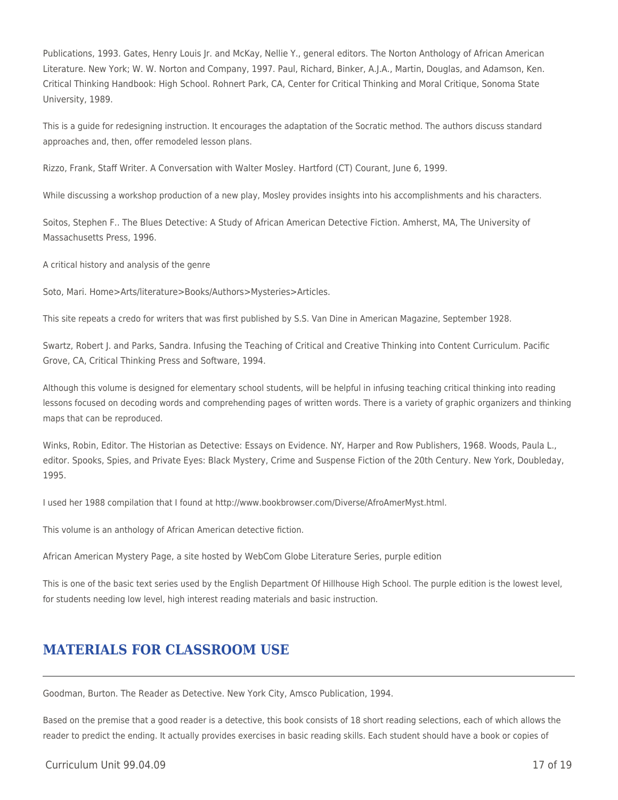Publications, 1993. Gates, Henry Louis Jr. and McKay, Nellie Y., general editors. The Norton Anthology of African American Literature. New York; W. W. Norton and Company, 1997. Paul, Richard, Binker, A.J.A., Martin, Douglas, and Adamson, Ken. Critical Thinking Handbook: High School. Rohnert Park, CA, Center for Critical Thinking and Moral Critique, Sonoma State University, 1989.

This is a guide for redesigning instruction. It encourages the adaptation of the Socratic method. The authors discuss standard approaches and, then, offer remodeled lesson plans.

Rizzo, Frank, Staff Writer. A Conversation with Walter Mosley. Hartford (CT) Courant, June 6, 1999.

While discussing a workshop production of a new play, Mosley provides insights into his accomplishments and his characters.

Soitos, Stephen F.. The Blues Detective: A Study of African American Detective Fiction. Amherst, MA, The University of Massachusetts Press, 1996.

A critical history and analysis of the genre

Soto, Mari. Home>Arts/literature>Books/Authors>Mysteries>Articles.

This site repeats a credo for writers that was first published by S.S. Van Dine in American Magazine, September 1928.

Swartz, Robert J. and Parks, Sandra. Infusing the Teaching of Critical and Creative Thinking into Content Curriculum. Pacific Grove, CA, Critical Thinking Press and Software, 1994.

Although this volume is designed for elementary school students, will be helpful in infusing teaching critical thinking into reading lessons focused on decoding words and comprehending pages of written words. There is a variety of graphic organizers and thinking maps that can be reproduced.

Winks, Robin, Editor. The Historian as Detective: Essays on Evidence. NY, Harper and Row Publishers, 1968. Woods, Paula L., editor. Spooks, Spies, and Private Eyes: Black Mystery, Crime and Suspense Fiction of the 20th Century. New York, Doubleday, 1995.

I used her 1988 compilation that I found at http://www.bookbrowser.com/Diverse/AfroAmerMyst.html.

This volume is an anthology of African American detective fiction.

African American Mystery Page, a site hosted by WebCom Globe Literature Series, purple edition

This is one of the basic text series used by the English Department Of Hillhouse High School. The purple edition is the lowest level, for students needing low level, high interest reading materials and basic instruction.

## **MATERIALS FOR CLASSROOM USE**

Goodman, Burton. The Reader as Detective. New York City, Amsco Publication, 1994.

Based on the premise that a good reader is a detective, this book consists of 18 short reading selections, each of which allows the reader to predict the ending. It actually provides exercises in basic reading skills. Each student should have a book or copies of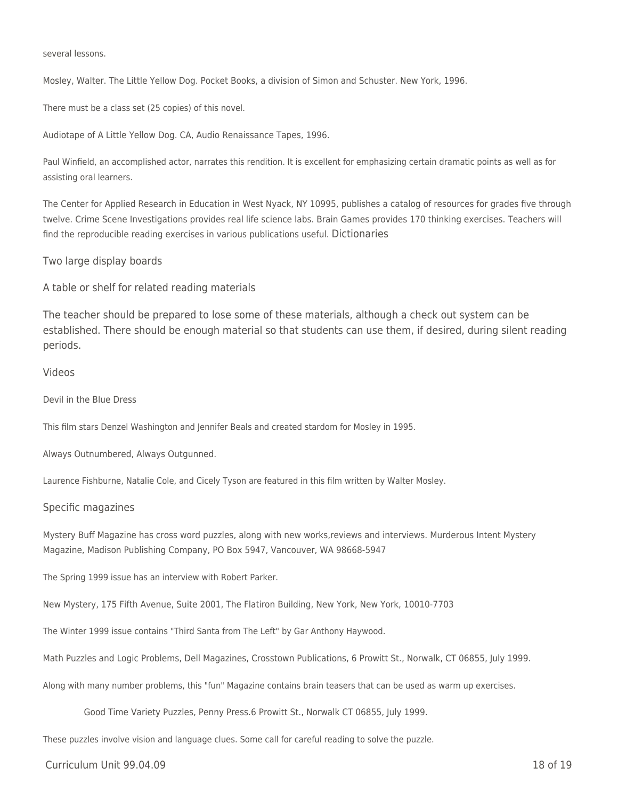several lessons.

Mosley, Walter. The Little Yellow Dog. Pocket Books, a division of Simon and Schuster. New York, 1996.

There must be a class set (25 copies) of this novel.

Audiotape of A Little Yellow Dog. CA, Audio Renaissance Tapes, 1996.

Paul Winfield, an accomplished actor, narrates this rendition. It is excellent for emphasizing certain dramatic points as well as for assisting oral learners.

The Center for Applied Research in Education in West Nyack, NY 10995, publishes a catalog of resources for grades five through twelve. Crime Scene Investigations provides real life science labs. Brain Games provides 170 thinking exercises. Teachers will find the reproducible reading exercises in various publications useful. Dictionaries

Two large display boards

A table or shelf for related reading materials

The teacher should be prepared to lose some of these materials, although a check out system can be established. There should be enough material so that students can use them, if desired, during silent reading periods.

### Videos

Devil in the Blue Dress

This film stars Denzel Washington and Jennifer Beals and created stardom for Mosley in 1995.

Always Outnumbered, Always Outgunned.

Laurence Fishburne, Natalie Cole, and Cicely Tyson are featured in this film written by Walter Mosley.

#### Specific magazines

Mystery Buff Magazine has cross word puzzles, along with new works,reviews and interviews. Murderous Intent Mystery Magazine, Madison Publishing Company, PO Box 5947, Vancouver, WA 98668-5947

The Spring 1999 issue has an interview with Robert Parker.

New Mystery, 175 Fifth Avenue, Suite 2001, The Flatiron Building, New York, New York, 10010-7703

The Winter 1999 issue contains "Third Santa from The Left" by Gar Anthony Haywood.

Math Puzzles and Logic Problems, Dell Magazines, Crosstown Publications, 6 Prowitt St., Norwalk, CT 06855, July 1999.

Along with many number problems, this "fun" Magazine contains brain teasers that can be used as warm up exercises.

Good Time Variety Puzzles, Penny Press.6 Prowitt St., Norwalk CT 06855, July 1999.

These puzzles involve vision and language clues. Some call for careful reading to solve the puzzle.

 $C$ urriculum Unit 99.04.09  $\qquad$  18 of 19